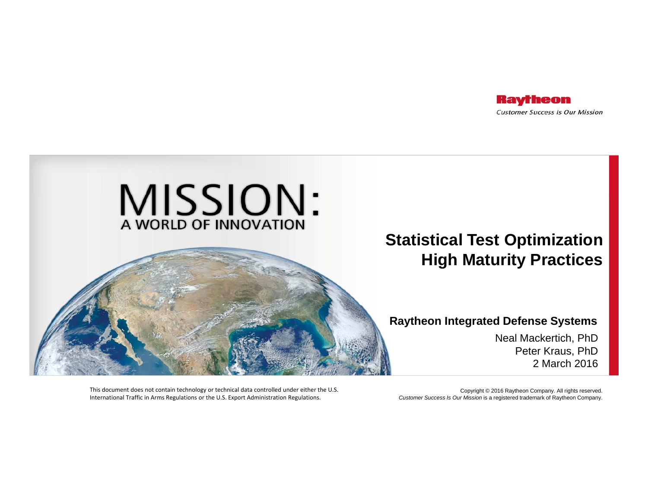



#### **Raytheon Integrated Defense Systems**

Neal Mackertich, PhD Peter Kraus, PhD 2 March 2016

This document does not contain technology or technical data controlled under either the U.S. International Traffic in Arms Regulations or the U.S. Export Administration Regulations.

Copyright © 2016 Raytheon Company. All rights reserved. *Customer Success Is Our Mission* is a registered trademark of Raytheon Company.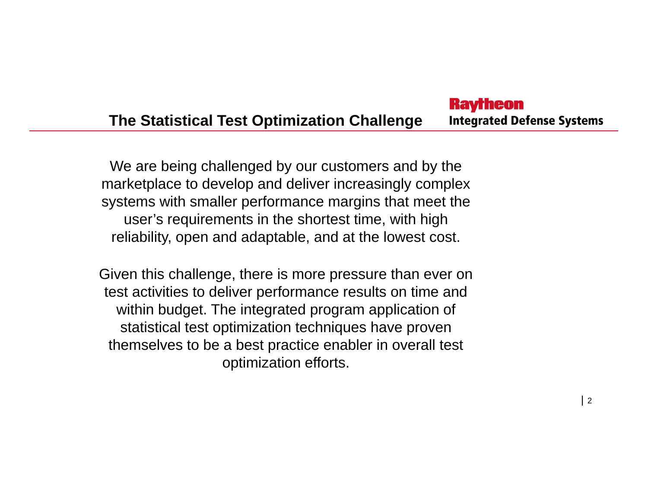#### **Raytheon The Statistical Test Optimization Challenge Integrated Defense Systems**

We are being challenged by our customers and by the marketplace to develop and deliver increasingly complex systems with smaller performance margins that meet the user's requirements in the shortest time, with high reliability, open and adaptable, and at the lowest cost.

Given this challenge, there is more pressure than ever on test activities to deliver performance results on time and within budget. The integrated program application of statistical test optimization techniques have proven themselves to be a best practice enabler in overall test optimization efforts.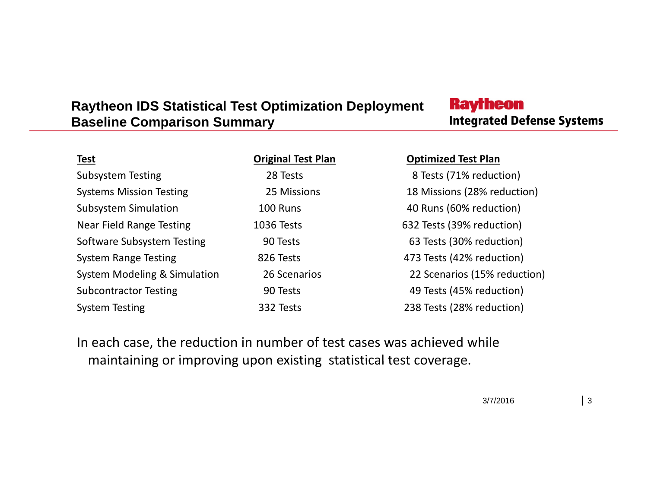#### **Raytheon IDS Statistical Test Optimization Deployment Baseline Comparison Summary**

## **Raytheon Integrated Defense Systems**

| <b>Test</b>                    | <b>Original Test Plan</b> | <b>Optimized Test Plan</b>   |
|--------------------------------|---------------------------|------------------------------|
| Subsystem Testing              | 28 Tests                  | 8 Tests (71% reduction)      |
| <b>Systems Mission Testing</b> | 25 Missions               | 18 Missions (28% reduction)  |
| <b>Subsystem Simulation</b>    | 100 Runs                  | 40 Runs (60% reduction)      |
| Near Field Range Testing       | <b>1036 Tests</b>         | 632 Tests (39% reduction)    |
| Software Subsystem Testing     | 90 Tests                  | 63 Tests (30% reduction)     |
| <b>System Range Testing</b>    | 826 Tests                 | 473 Tests (42% reduction)    |
| System Modeling & Simulation   | 26 Scenarios              | 22 Scenarios (15% reduction) |
| <b>Subcontractor Testing</b>   | 90 Tests                  | 49 Tests (45% reduction)     |
| <b>System Testing</b>          | 332 Tests                 | 238 Tests (28% reduction)    |

In each case, the reduction in number of test cases was achieved while maintaining or improving upon existing statistical test coverage.

3/7/2016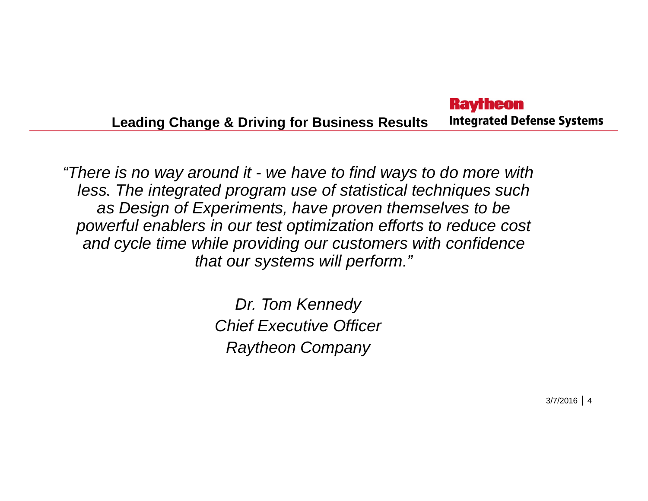#### **Raytheon Integrated Defense Systems Leading Change & Driving for Business Results**

*"There is no way around it - we have to find ways to do more with less. The integrated program use of statistical techniques such as Design of Experiments, have proven themselves to be powerful enablers in our test optimization efforts to reduce cost and cy pg cle time while providin g our customers with confidence that our systems will perform."*

> *Dr. Tom Kennedy Chief Executive Officer Raytheon Company*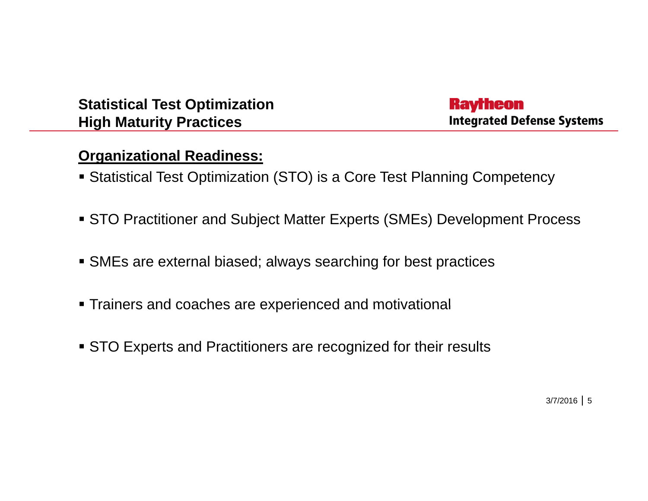**Raytheon Integrated Defense Systems** 

#### **Organizational Readiness:**

- Statistical Test Optimization (STO) is a Core Test Planning Competency
- STO Practitioner and Subject Matter Experts (SMEs) Development Process
- SMEs are external biased; always searching for best practices
- Trainers and coaches are experienced and motivational
- STO Experts and Practitioners are recognized for their results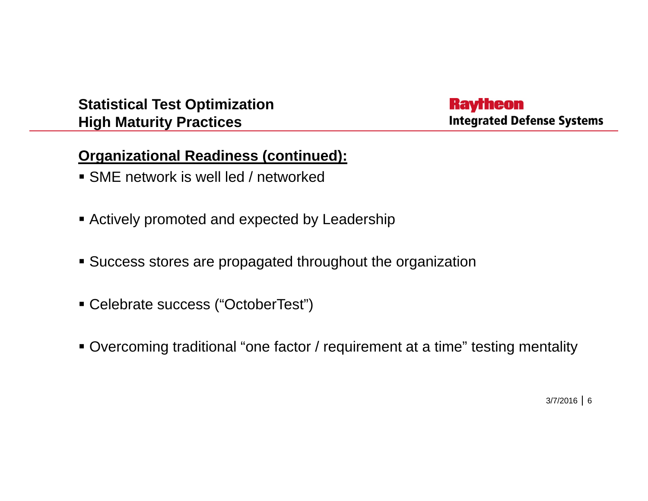### **Raytheon Integrated Defense Systems**

### **Organizational Readiness (continued):**

- SME network is well led / networked
- Actively promoted and expected by Leadership
- Success stores are propagated throughout the organization
- Celebrate success ("OctoberTest")
- Overcoming traditional "one factor / requirement at a time" testing mentality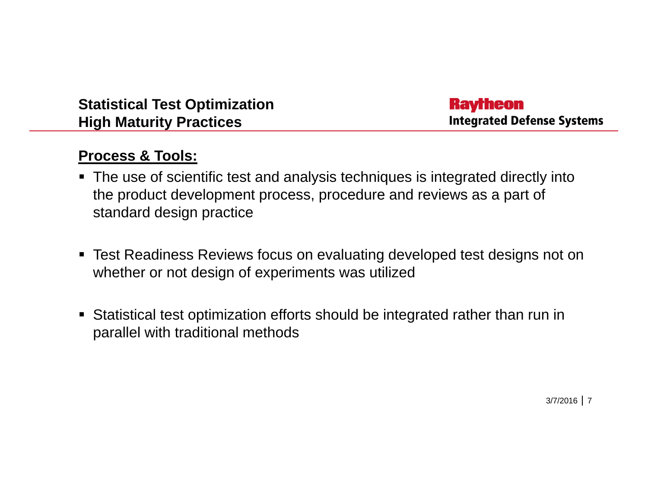**Raytheon Integrated Defense Systems** 

#### **Process & Tools:**

- The use of scientific test and analysis techniques is integrated directly into the product development process, procedure and reviews as a part of standard design practice
- Test Readiness Reviews focus on evaluating developed test designs not on whether or not design of experiments was utilized
- Statistical test optimization efforts should be integrated rather than run in parallel with traditional methods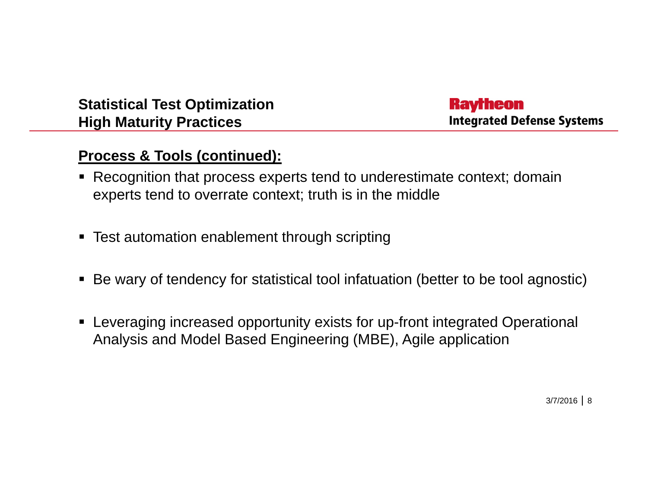#### **Raytheon Integrated Defense Systems**

### **Process & Tools (continued):**

- Recognition that process experts tend to underestimate context; domain experts tend to overrate context; truth is in the middle
- Test automation enablement through scripting
- Be wary of tendency for statistical tool infatuation (better to be tool agnostic)
- Leveraging increased opportunity exists for up-front integrated Operational Analysis and Model Based Engineering (MBE), Agile application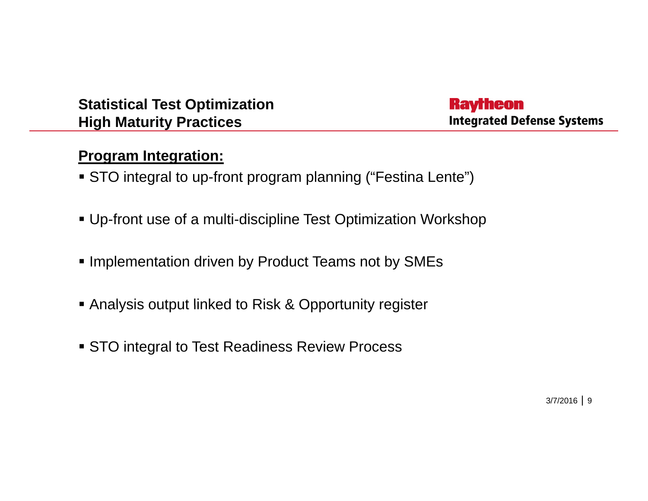**Raytheon Integrated Defense Systems** 

### **Program Integration:**

- STO integral to up-front program planning ("Festina Lente")
- Up-front use of a multi-discipline Test Optimization Workshop
- **Implementation driven by Product Teams not by SMEs**
- **Analysis output linked to Risk & Opportunity register**
- STO integral to Test Readiness Review Process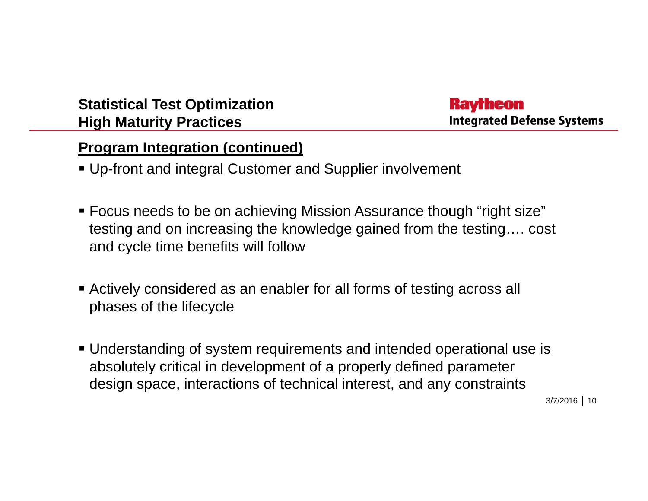**Raytheon Integrated Defense Systems** 

#### **Program Integration (continued)**

- Up-front and integral Customer and Supplier involvement
- Focus needs to be on achieving Mission Assurance though "right size" testing and on increasing the knowledge gained from the testing…. cost and cycle time benefits will follow
- Actively considered as an enabler for all forms of testing across all phases of the lifecycle
- Understanding of system requirements and intended operational use is absolutely critical in development of a properly defined parameter design space, interactions of technical interest, and any constraints